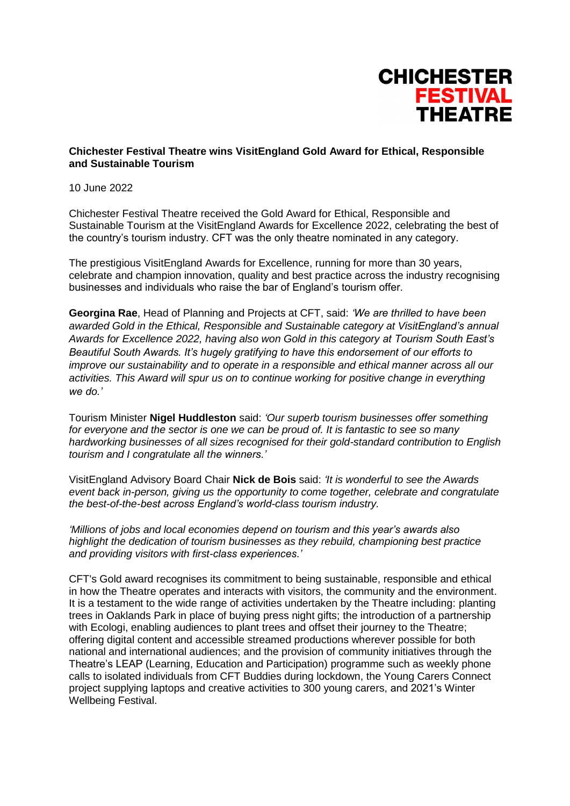

## **Chichester Festival Theatre wins VisitEngland Gold Award for Ethical, Responsible and Sustainable Tourism**

10 June 2022

Chichester Festival Theatre received the Gold Award for Ethical, Responsible and Sustainable Tourism at the VisitEngland Awards for Excellence 2022, celebrating the best of the country's tourism industry. CFT was the only theatre nominated in any category.

The prestigious VisitEngland Awards for Excellence, running for more than 30 years, celebrate and champion innovation, quality and best practice across the industry recognising businesses and individuals who raise the bar of England's tourism offer.

**Georgina Rae**, Head of Planning and Projects at CFT, said: *'We are thrilled to have been awarded Gold in the Ethical, Responsible and Sustainable category at VisitEngland's annual Awards for Excellence 2022, having also won Gold in this category at Tourism South East's Beautiful South Awards. It's hugely gratifying to have this endorsement of our efforts to improve our sustainability and to operate in a responsible and ethical manner across all our activities. This Award will spur us on to continue working for positive change in everything we do.'*

Tourism Minister **Nigel Huddleston** said: *'Our superb tourism businesses offer something for everyone and the sector is one we can be proud of. It is fantastic to see so many hardworking businesses of all sizes recognised for their gold-standard contribution to English tourism and I congratulate all the winners.'*

VisitEngland Advisory Board Chair **Nick de Bois** said: *'It is wonderful to see the Awards event back in-person, giving us the opportunity to come together, celebrate and congratulate the best-of-the-best across England's world-class tourism industry.*

*'Millions of jobs and local economies depend on tourism and this year's awards also highlight the dedication of tourism businesses as they rebuild, championing best practice and providing visitors with first-class experiences.'*

CFT's Gold award recognises its commitment to being sustainable, responsible and ethical in how the Theatre operates and interacts with visitors, the community and the environment. It is a testament to the wide range of activities undertaken by the Theatre including: planting trees in Oaklands Park in place of buying press night gifts; the introduction of a partnership with Ecologi, enabling audiences to plant trees and offset their journey to the Theatre; offering digital content and accessible streamed productions wherever possible for both national and international audiences; and the provision of community initiatives through the Theatre's LEAP (Learning, Education and Participation) programme such as weekly phone calls to isolated individuals from CFT Buddies during lockdown, the Young Carers Connect project supplying laptops and creative activities to 300 young carers, and 2021's Winter Wellbeing Festival.